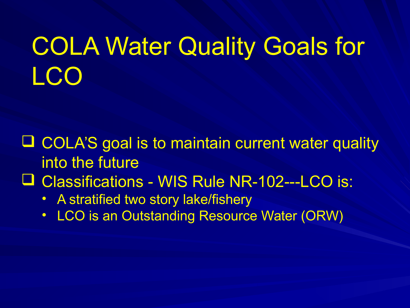### COLA Water Quality Goals for LCO

- $\Box$  COLA'S goal is to maintain current water quality into the future
- Classifications WIS Rule NR-102---LCO is:
	- A stratified two story lake/fishery
	- LCO is an Outstanding Resource Water (ORW)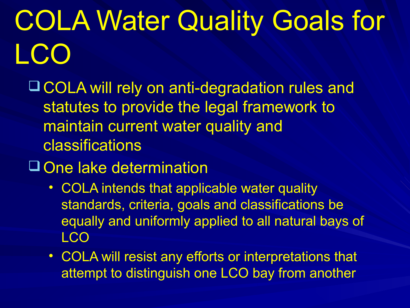COLA Water Quality Goals for LC(

 COLA will rely on anti-degradation rules and statutes to provide the legal framework to maintain current water quality and classifications

#### One lake determination

- COLA intends that applicable water quality standards, criteria, goals and classifications be equally and uniformly applied to all natural bays of LCO
- COLA will resist any efforts or interpretations that attempt to distinguish one LCO bay from another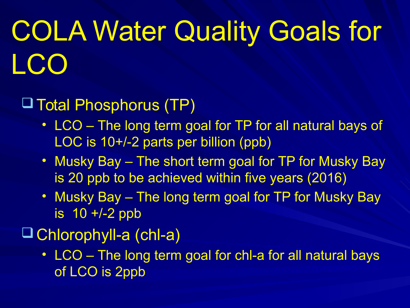# COLA Water Quality Goals for LCO

Total Phosphorus (TP)

- LCO The long term goal for TP for all natural bays of LOC is 10+/-2 parts per billion (ppb)
- Musky Bay The short term goal for TP for Musky Bay is 20 ppb to be achieved within five years (2016)
- Musky Bay The long term goal for TP for Musky Bay is 10 +/-2 ppb
- Chlorophyll-a (chl-a)
	- LCO The long term goal for chl-a for all natural bays of LCO is 2ppb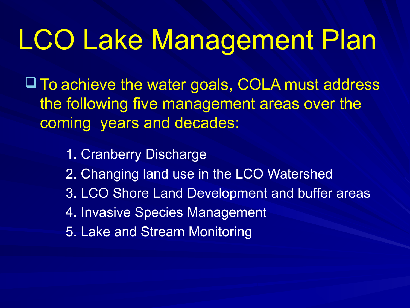## LCO Lake Management Plan

 To achieve the water goals, COLA must address the following five management areas over the coming years and decades:

> 1. Cranberry Discharge 2. Changing land use in the LCO Watershed 3. LCO Shore Land Development and buffer areas 4. Invasive Species Management 5. Lake and Stream Monitoring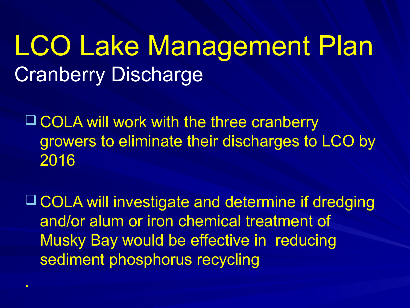#### LCO Lake Management Plan Cranberry Discharge

**Q COLA will work with the three cranberry** growers to eliminate their discharges to LCO by 2016

 COLA will investigate and determine if dredging and/or alum or iron chemical treatment of Musky Bay would be effective in reducing sediment phosphorus recycling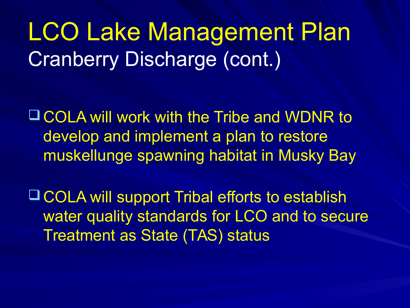LCO Lake Management Plan Cranberry Discharge (cont.)

 COLA will work with the Tribe and WDNR to develop and implement a plan to restore muskellunge spawning habitat in Musky Bay

 COLA will support Tribal efforts to establish water quality standards for LCO and to secure Treatment as State (TAS) status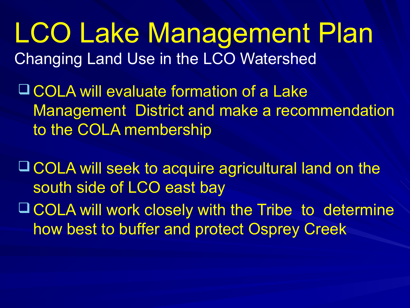LCO Lake Management Plan Changing Land Use in the LCO Watershed

 COLA will evaluate formation of a Lake Management District and make a recommendation to the COLA membership

 COLA will seek to acquire agricultural land on the south side of LCO east bay COLA will work closely with the Tribe to determine

how best to buffer and protect Osprey Creek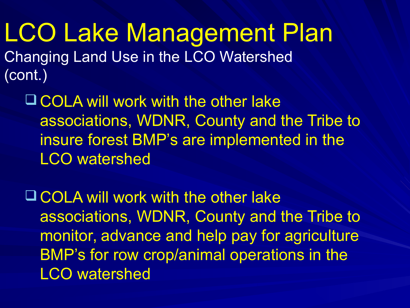LCO Lake Management Plan Changing Land Use in the LCO Watershed (cont.)

 COLA will work with the other lake associations, WDNR, County and the Tribe to insure forest BMP's are implemented in the LCO watershed

 COLA will work with the other lake associations, WDNR, County and the Tribe to monitor, advance and help pay for agriculture BMP's for row crop/animal operations in the LCO watershed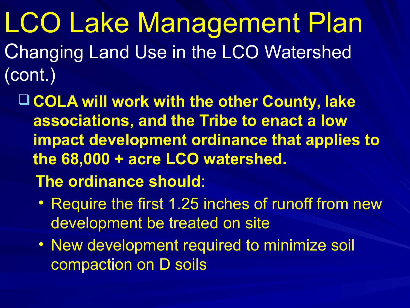LCO Lake Management Plan Changing Land Use in the LCO Watershed (cont.)

 **COLA will work with the other County, lake associations, and the Tribe to enact a low impact development ordinance that applies to the 68,000 + acre LCO watershed. The ordinance should**:

- Require the first 1.25 inches of runoff from new development be treated on site
- New development required to minimize soil compaction on D soils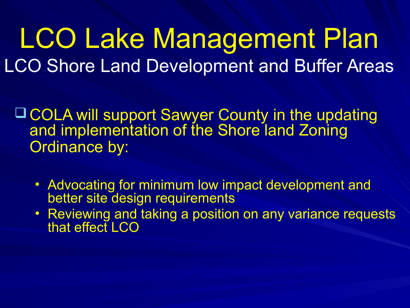#### LCO Lake Management Plan LCO Shore Land Development and Buffer Areas

 COLA will support Sawyer County in the updating and implementation of the Shore land Zoning Ordinance by:

- Advocating for minimum low impact development and better site design requirements
- Reviewing and taking a position on any variance requests that effect LCO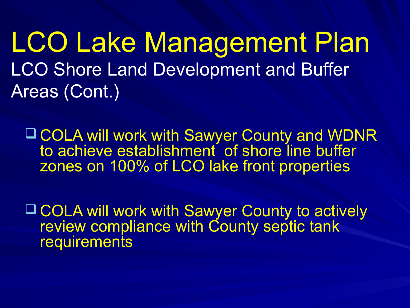LCO Lake Management Plan **LCO Shore Land Development and Buffer** Areas (Cont.)

 COLA will work with Sawyer County and WDNR to achieve establishment of shore line buffer zones on 100% of LCO lake front properties

 COLA will work with Sawyer County to actively review compliance with County septic tank requirements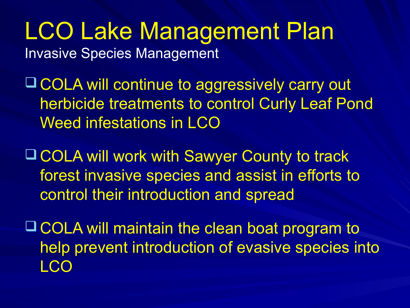LCO Lake Management Plan Invasive Species Management

 COLA will continue to aggressively carry out herbicide treatments to control Curly Leaf Pond Weed infestations in LCO

 COLA will work with Sawyer County to track forest invasive species and assist in efforts to control their introduction and spread

 COLA will maintain the clean boat program to help prevent introduction of evasive species into LCO